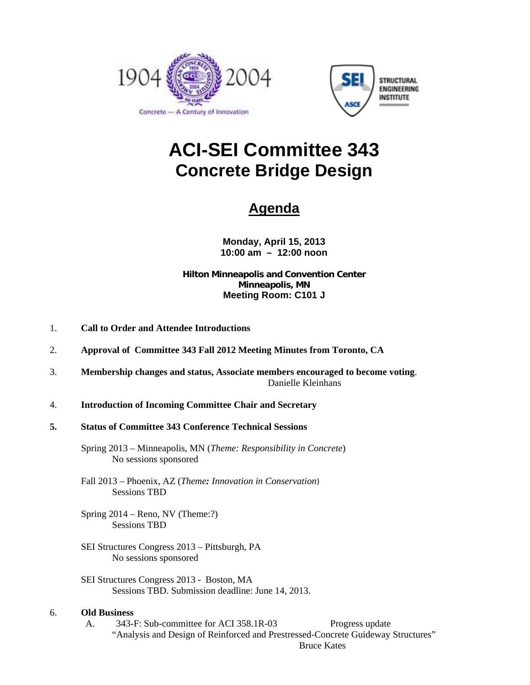



# **ACI-SEI Committee 343 Concrete Bridge Design**

# **Agenda**

**Monday, April 15, 2013 10:00 am – 12:00 noon** 

#### **Hilton Minneapolis and Convention Center Minneapolis, MN Meeting Room: C101 J**

- 1. **Call to Order and Attendee Introductions**
- 2. **Approval of Committee 343 Fall 2012 Meeting Minutes from Toronto, CA**
- 3. **Membership changes and status, Associate members encouraged to become voting**. Danielle Kleinhans
- 4. **Introduction of Incoming Committee Chair and Secretary**
- **5. Status of Committee 343 Conference Technical Sessions**
	- Spring 2013 Minneapolis, MN (*Theme: Responsibility in Concrete*) No sessions sponsored
	- Fall 2013 Phoenix, AZ (*Theme: Innovation in Conservation*) Sessions TBD
	- Spring 2014 Reno, NV (Theme:?) Sessions TBD
	- SEI Structures Congress 2013 Pittsburgh, PA No sessions sponsored
	- SEI Structures Congress 2013 Boston, MA Sessions TBD. Submission deadline: June 14, 2013.

#### 6. **Old Business**

A. 343-F: Sub-committee for ACI 358.1R-03 Progress update "Analysis and Design of Reinforced and Prestressed-Concrete Guideway Structures" Bruce Kates